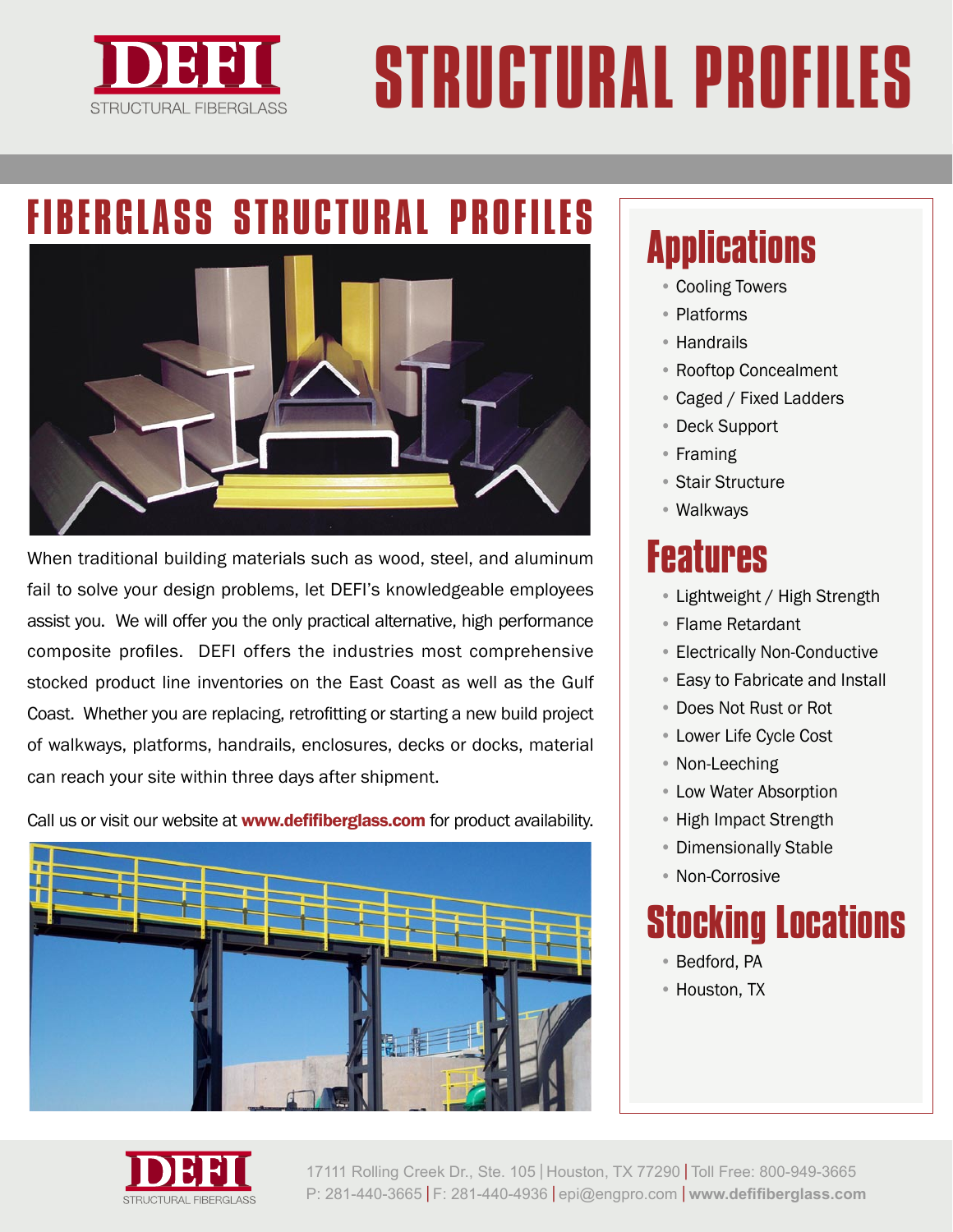

# STRUCTURAL PROFILES

## FIBERGLASS STRUCTURAL PROFILES



When traditional building materials such as wood, steel, and aluminum fail to solve your design problems, let DEFI's knowledgeable employees assist you. We will offer you the only practical alternative, high performance composite profiles. DEFI offers the industries most comprehensive stocked product line inventories on the East Coast as well as the Gulf Coast. Whether you are replacing, retrofitting or starting a new build project of walkways, platforms, handrails, enclosures, decks or docks, material can reach your site within three days after shipment.

Call us or visit our website at **www.defifiberglass.com** for product availability.



### **Applications**

- Cooling Towers
- Platforms
- Handrails
- Rooftop Concealment
- Caged / Fixed Ladders
- Deck Support
- Framing
- Stair Structure
- Walkways

#### **Features**

- Lightweight / High Strength
- Flame Retardant
- Electrically Non-Conductive
- Easy to Fabricate and Install
- Does Not Rust or Rot
- Lower Life Cycle Cost
- Non-Leeching
- Low Water Absorption
- High Impact Strength
- Dimensionally Stable
- Non-Corrosive

# **Stocking Locations**

- Bedford, PA
- Houston, TX



17111 Rolling Creek Dr., Ste. 105 | Houston, TX 77290 | Toll Free: 800-949-3665 P: 281-440-3665 | F: 281-440-4936 | epi@engpro.com | **www.defifiberglass.com**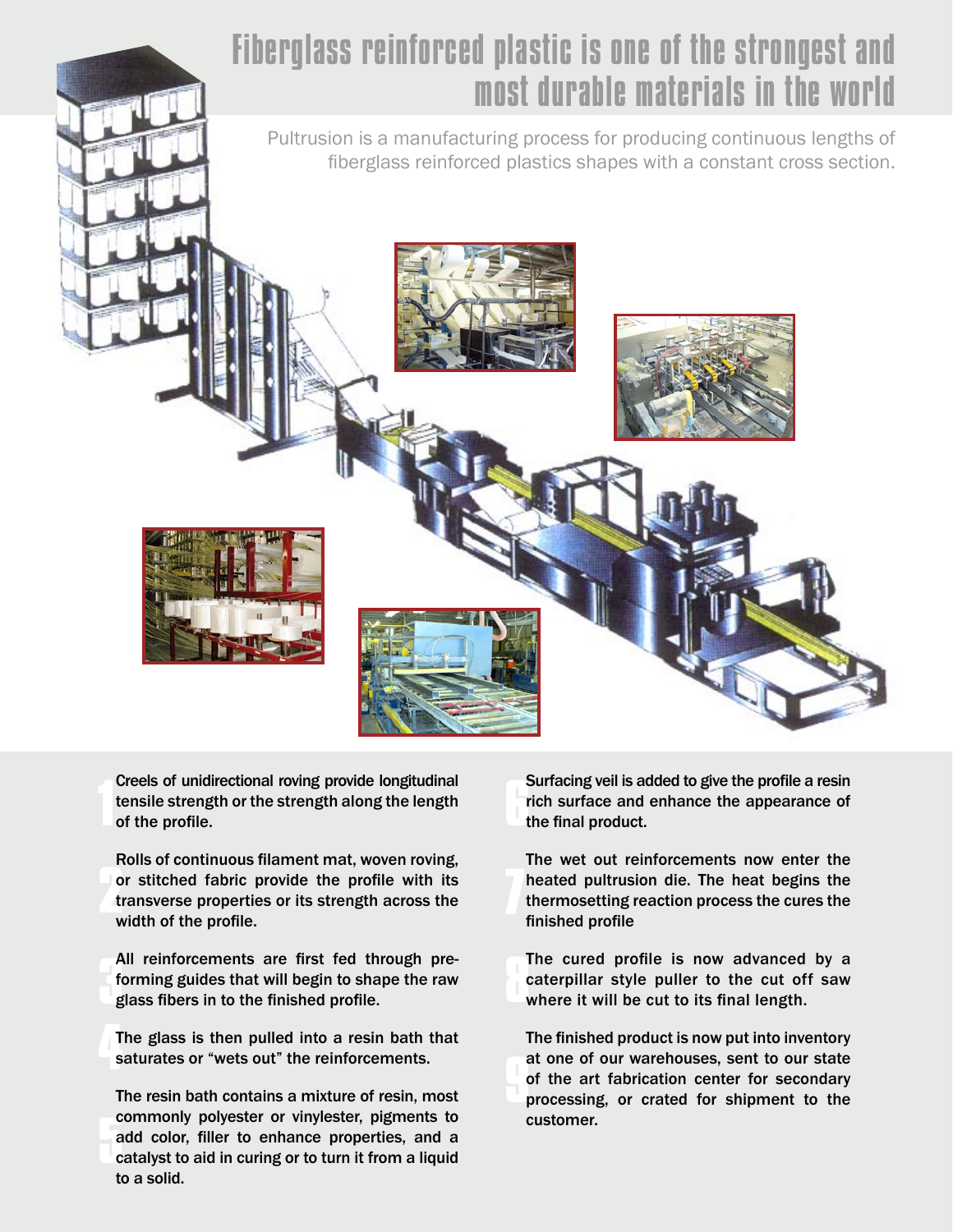#### Fiberglass reinforced plastic is one of the strongest and most durable materials in the world

Pultrusion is a manufacturing process for producing continuous lengths of fiberglass reinforced plastics shapes with a constant cross section.



Creels of unidirectional roving provide longitudinal tensile strength or the strength along the length of the profile.

or stitched fabric provide the profile with its<br>transverse properties or its strength across the<br>width of the profile Rolls of continuous filament mat, woven roving, transverse properties or its strength across the width of the profile.

All reinforcements are first fed the<br>forming guides that will begin to sha<br>glass fibers in to the finished profile. All reinforcements are first fed through preforming guides that will begin to shape the raw

The glass is then pulled into a resin bath that<br>saturates or "wets out" the reinforcements. saturates or "wets out" the reinforcements.

**5** add color, filler to enhance properties, and a catalyst to aid in curing or to turn it from a liquid The resin bath contains a mixture of resin, most commonly polyester or vinylester, pigments to catalyst to aid in curing or to turn it from a liquid to a solid.

**6** Surfacing veil is added to give the profile a resin rich surface and enhance the appearance of the final product.

**7** The wet out reinforcements now enter the heated pultrusion die. The heat begins the thermosetting reaction process the cures the finished profile

**8** The cured profile is now advanced by a caterpillar style puller to the cut off saw where it will be cut to its final length.

**9** The finished product is now put into inventory at one of our warehouses, sent to our state of the art fabrication center for secondary processing, or crated for shipment to the customer.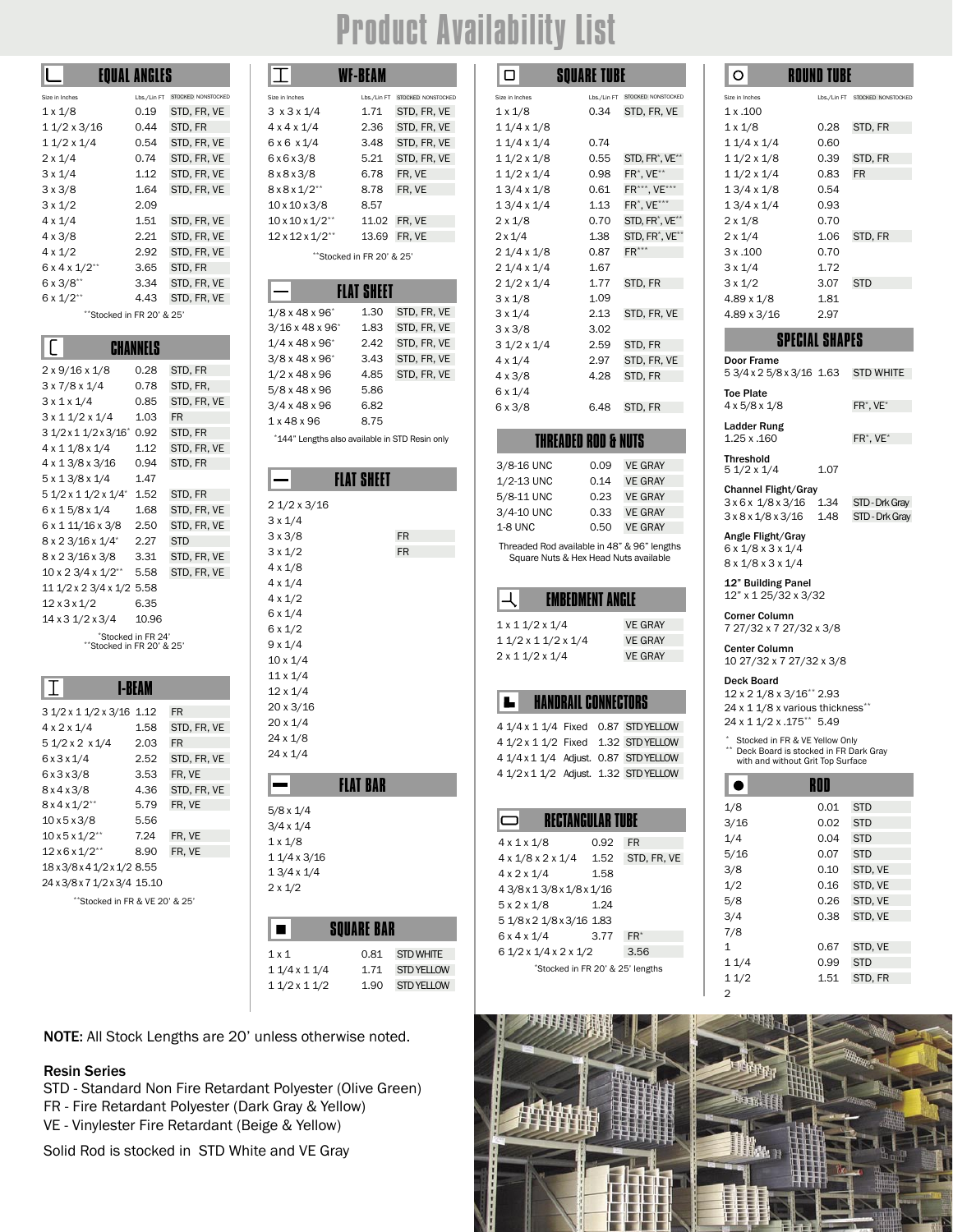### Product Availability List

|                          | EOUAL ANGLES |                    |
|--------------------------|--------------|--------------------|
| Size in Inches           | Lbs./Lin FT  | STOCKED NONSTOCKED |
| $1 \times 1/8$           | 0.19         | STD, FR, VE        |
| 1 1/2 x 3/16             | 0.44         | STD. FR            |
| $11/2 \times 1/4$        | 0.54         | STD. FR. VE        |
| $2 \times 1/4$           | 0.74         | STD, FR, VE        |
| $3 \times 1/4$           | 1.12         | STD, FR, VE        |
| $3 \times 3/8$           | 1.64         | STD, FR, VE        |
| $3 \times 1/2$           | 2.09         |                    |
| $4 \times 1/4$           | 1.51         | STD, FR, VE        |
| $4 \times 3/8$           | 2.21         | STD. FR. VE        |
| $4 \times 1/2$           | 2.92         | STD, FR, VE        |
| $6x4x1/2**$              | 3.65         | STD, FR            |
| $6 \times 3/8$ **        | 3.34         | STD, FR, VE        |
| $6 \times 1/2$ **        | 4.43         | STD, FR, VE        |
| "Stocked in FR 20' & 25' |              |                    |

| $2 \times 9/16 \times 1/8$                        | 0.28               | STD, FR     |  |
|---------------------------------------------------|--------------------|-------------|--|
| $3 \times 7/8 \times 1/4$                         | 0.78               | STD, FR,    |  |
| $3 \times 1 \times 1/4$                           | 0.85               | STD, FR, VE |  |
| $3 \times 11/2 \times 1/4$                        | 1.03               | <b>FR</b>   |  |
| 3 1/2 x 1 1/2 x 3/16 <sup>*</sup>                 | 0.92               | STD, FR     |  |
| $4 \times 11/8 \times 1/4$                        | 1.12               | STD, FR, VE |  |
| 4 x 1 3/8 x 3/16                                  | 0.94               | STD, FR     |  |
| 5 x 1 3/8 x 1/4                                   | 1.47               |             |  |
| 5 1/2 x 1 1/2 x 1/4*                              | 1.52               | STD, FR     |  |
| 6 x 1 5/8 x 1/4                                   | 1.68               | STD, FR, VE |  |
| 6 x 1 11/16 x 3/8                                 | 2.50               | STD, FR, VE |  |
| 8 x 2 3/16 x 1/4*                                 | 2.27               | <b>STD</b>  |  |
| 8 x 2 3/16 x 3/8                                  | 3.31               | STD, FR, VE |  |
| $10 \times 2 \frac{3}{4} \times \frac{1}{2^{**}}$ | 5.58               | STD, FR, VE |  |
| 11 1/2 x 2 3/4 x 1/2 5.58                         |                    |             |  |
| 12x3x1/2                                          | 6.35               |             |  |
| 14 x 3 1/2 x 3/4                                  | 10.96              |             |  |
| "Stocked in FR 20' & 25'                          | "Stocked in FR 24" |             |  |

| 3 1/2 x 1 1/2 x 3/16 1.12      |      | <b>FR</b>   |
|--------------------------------|------|-------------|
| $4 \times 2 \times 1/4$        | 1.58 | STD, FR, VE |
| 5 1/2 x 2 x 1/4                | 2.03 | FR          |
| 6x3x1/4                        | 2.52 | STD, FR, VE |
| 6x3x3/8                        | 3.53 | FR. VE      |
| 8x4x3/8                        | 4.36 | STD, FR, VE |
| $8x4x1/2**$                    | 5.79 | FR. VE      |
| 10x5x3/8                       | 5.56 |             |
| $10x5x1/2**$                   | 7.24 | FR. VE      |
| $12 \times 6 \times 1/2^{**}$  | 8.90 | FR. VE      |
| 18 x 3/8 x 4 1/2 x 1/2 8.55    |      |             |
| 24 x 3/8 x 7 1/2 x 3/4 15.10   |      |             |
| **Stocked in FR & VE 20' & 25' |      |             |

|                                | <b>EQUAL ANGLES</b> |                                |                                | <b>WF-BEAM</b>                                 |                                | □                                       | <b>SQUARE TUBE</b>                  |                          |
|--------------------------------|---------------------|--------------------------------|--------------------------------|------------------------------------------------|--------------------------------|-----------------------------------------|-------------------------------------|--------------------------|
| Size in Inches                 |                     | Lbs./Lin FT STOCKED NONSTOCKED | Size in Inches                 |                                                | Lbs./Lin FT STOCKED NONSTOCKED | Size in Inches                          |                                     | Lbs./Lin FT STOCKED NONS |
| 1 x 1/8                        | 0.19                | STD, FR, VE                    | $3 \times 3 \times 1/4$        | 1.71                                           | STD, FR, VE                    | $1 \times 1/8$                          | 0.34                                | STD, FR,                 |
| 1 1/2 x 3/16                   | 0.44                | STD, FR                        | $4 \times 4 \times 1/4$        | 2.36                                           | STD, FR, VE                    | $11/4 \times 1/8$                       |                                     |                          |
| 1 1/2 x 1/4                    | 0.54                | STD, FR, VE                    | $6 \times 6 \times 1/4$        | 3.48                                           | STD, FR, VE                    | $11/4 \times 1/4$                       | 0.74                                |                          |
| 2 x 1/4                        | 0.74                | STD, FR, VE                    | 6x6x3/8                        | 5.21                                           | STD, FR, VE                    | $11/2 \times 1/8$                       | 0.55                                | STD, FR <sup>*</sup> ,   |
| $3 \times 1/4$                 | 1.12                | STD, FR, VE                    | 8x8x3/8                        | 6.78                                           | FR, VE                         | $11/2 \times 1/4$                       | 0.98                                | $FR^*$ , VE $**$         |
| 3 x 3/8                        | 1.64                | STD, FR, VE                    | $8x8x1/2**$                    | 8.78                                           | FR, VE                         | $13/4 \times 1/8$                       | 0.61                                | $FR***$ , VE             |
| 3 x 1/2                        | 2.09                |                                | $10 \times 10 \times 3/8$      | 8.57                                           |                                | $13/4 \times 1/4$                       | 1.13                                | $FR^*$ , VE $**$         |
| 4 x 1/4                        | 1.51                | STD, FR, VE                    | $10 \times 10 \times 1/2^{**}$ |                                                | 11.02 FR, VE                   | $2 \times 1/8$                          | 0.70                                | STD, FR <sup>*</sup> ,   |
| 4 x 3/8                        | 2.21                | STD, FR, VE                    | $12 \times 12 \times 1/2^{**}$ | 13.69                                          | FR, VE                         | $2 \times 1/4$                          | 1.38                                | STD, FR <sup>*</sup> ,   |
| 4 x 1/2                        | 2.92                | STD, FR, VE                    |                                | **Stocked in FR 20' & 25'                      |                                | $21/4 \times 1/8$                       | 0.87                                | $FR***$                  |
| $6x4x1/2**$                    | 3.65                | STD, FR                        |                                |                                                |                                | $21/4 \times 1/4$                       | 1.67                                |                          |
| 6 x 3/8**                      | 3.34                | STD, FR, VE                    |                                | <b>FLAT SHEET</b>                              |                                | $21/2 \times 1/4$                       | 1.77                                | STD, FR                  |
| 6 x 1/2**                      | 4.43                | STD, FR, VE                    |                                |                                                |                                | $3 \times 1/8$                          | 1.09                                |                          |
| **Stocked in FR 20' & 25'      |                     |                                | $1/8$ x 48 x 96 $*$            | 1.30                                           | STD, FR, VE                    | $3 \times 1/4$                          | 2.13                                | STD, FR,                 |
|                                |                     |                                | $3/16 \times 48 \times 96^*$   | 1.83                                           | STD, FR, VE                    | $3 \times 3/8$                          | 3.02                                |                          |
|                                | <b>CHANNELS</b>     |                                | $1/4 \times 48 \times 96$      | 2.42                                           | STD, FR, VE                    | $31/2 \times 1/4$                       | 2.59                                | STD, FR                  |
| 2 x 9/16 x 1/8                 | 0.28                | STD, FR                        | $3/8 \times 48 \times 96^*$    | 3.43                                           | STD, FR, VE                    | $4 \times 1/4$                          | 2.97                                | STD, FR,                 |
| 3 x 7/8 x 1/4                  | 0.78                | STD, FR,                       | 1/2 x 48 x 96                  | 4.85                                           | STD, FR, VE                    | $4 \times 3/8$                          | 4.28                                | STD, FR                  |
| 3 x 1 x 1/4                    | 0.85                | STD, FR, VE                    | 5/8 x 48 x 96                  | 5.86                                           |                                | $6 \times 1/4$                          |                                     |                          |
| 3 x 1 1/2 x 1/4                | 1.03                | <b>FR</b>                      | $3/4 \times 48 \times 96$      | 6.82                                           |                                | $6 \times 3/8$                          | 6.48                                | STD, FR                  |
| 3 1/2 x 1 1/2 x 3/16* 0.92     |                     | STD, FR                        | 1 x 48 x 96                    | 8.75                                           |                                |                                         |                                     |                          |
| 4 x 1 1/8 x 1/4                | 1.12                | STD, FR, VE                    |                                | *144" Lengths also available in STD Resin only |                                |                                         | <b>THREADED ROD &amp; NUTS</b>      |                          |
| 4 x 1 3/8 x 3/16               | 0.94                | STD, FR                        |                                |                                                |                                | 3/8-16 UNC                              | 0.09                                | <b>VE GRAY</b>           |
| 5 x 1 3/8 x 1/4                | 1.47                |                                |                                | <b>FLAT SHEET</b>                              |                                | 1/2-13 UNC                              | 0.14                                | <b>VE GRAY</b>           |
| 5 1/2 x 1 1/2 x 1/4* 1.52      |                     | STD, FR                        |                                |                                                |                                | 5/8-11 UNC                              | 0.23                                | <b>VE GRAY</b>           |
| 6 x 1 5/8 x 1/4                | 1.68                | STD, FR, VE                    | $21/2 \times 3/16$             |                                                |                                | 3/4-10 UNC                              | 0.33                                | <b>VE GRAY</b>           |
| 6 x 1 11/16 x 3/8              | 2.50                | STD, FR, VE                    | $3 \times 1/4$                 |                                                |                                | <b>1-8 UNC</b>                          | 0.50                                | <b>VE GRAY</b>           |
| 8 x 2 3/16 x 1/4*              | 2.27                | <b>STD</b>                     | $3 \times 3/8$                 |                                                | <b>FR</b>                      | Threaded Rod available in 48" & 96" len |                                     |                          |
| 8 x 2 3/16 x 3/8               | 3.31                | STD, FR, VE                    | $3 \times 1/2$                 |                                                | <b>FR</b>                      |                                         | Square Nuts & Hex Head Nuts availab |                          |
| 10 x 2 3/4 x 1/2**             | 5.58                | STD, FR, VE                    | $4 \times 1/8$                 |                                                |                                |                                         |                                     |                          |
| 11 1/2 x 2 3/4 x 1/2 5.58      |                     |                                | $4 \times 1/4$                 |                                                |                                |                                         |                                     |                          |
| 12 x 3 x 1/2                   | 6.35                |                                | $4 \times 1/2$                 |                                                |                                |                                         | <b>EMBEDMENT ANGLE</b>              |                          |
| 14 x 3 1/2 x 3/4               | 10.96               |                                | $6 \times 1/4$                 |                                                |                                | $1 \times 11/2 \times 1/4$              |                                     | <b>VE GRAY</b>           |
|                                | *Stocked in FR 24'  |                                | $6 \times 1/2$                 |                                                |                                | $11/2 \times 11/2 \times 1/4$           |                                     | <b>VE GRAY</b>           |
| **Stocked in FR 20' & 25'      |                     |                                | $9 \times 1/4$                 |                                                |                                | $2 \times 11/2 \times 1/4$              |                                     | <b>VE GRAY</b>           |
|                                |                     |                                | $10 \times 1/4$                |                                                |                                |                                         |                                     |                          |
|                                | <b>I-BEAM</b>       |                                | $11 \times 1/4$                |                                                |                                |                                         |                                     |                          |
|                                |                     |                                | $12 \times 1/4$                |                                                |                                | ь                                       | <b>HANDRAIL CONNECTORS</b>          |                          |
| 3 1/2 x 1 1/2 x 3/16 1.12      |                     | <b>FR</b>                      | $20 \times 3/16$               |                                                |                                |                                         |                                     |                          |
| 4 x 2 x 1/4                    | 1.58                | STD, FR, VE                    | $20 \times 1/4$                |                                                |                                | 4 1/4 x 1 1/4 Fixed 0.87 STD YELL       |                                     |                          |
| 51/2 x 2 x 1/4                 | 2.03                | <b>FR</b>                      | $24 \times 1/8$                |                                                |                                | 4 1/2 x 1 1/2 Fixed 1.32 STD YELL       |                                     |                          |
| 6x3x1/4                        | 2.52                | STD, FR, VE                    | $24 \times 1/4$                |                                                |                                | 4 1/4 x 1 1/4 Adjust. 0.87 STD YELL     |                                     |                          |
| 6 x 3 x 3/8                    |                     | 3.53 FR, VE                    |                                |                                                |                                | 4 1/2 x 1 1/2 Adjust. 1.32 STD YELL     |                                     |                          |
| 8 x 4 x 3/8                    | 4.36                | STD, FR, VE                    |                                | <b>FLAT BAR</b>                                |                                |                                         |                                     |                          |
| $8x4x1/2^{**}$                 | 5.79                | FR, VE                         | $5/8 \times 1/4$               |                                                |                                |                                         |                                     |                          |
| 10 x 5 x 3/8                   | 5.56                |                                | $3/4 \times 1/4$               |                                                |                                | ᆫ                                       | <b>RECTANGULAR TUBE</b>             |                          |
| $10 \times 5 \times 1/2^{**}$  | 7.24                | FR, VE                         | $1 \times 1/8$                 |                                                |                                | $4 \times 1 \times 1/8$                 | 0.92                                | <b>FR</b>                |
| $12\times 6\times 1/2^{**}$    | 8.90                | FR, VE                         | $11/4 \times 3/16$             |                                                |                                | $4 \times 1/8 \times 2 \times 1/4$      | 1.52                                | STD, FR                  |
| 18 x 3/8 x 4 1/2 x 1/2 8.55    |                     |                                | $13/4 \times 1/4$              |                                                |                                | $4 \times 2 \times 1/4$                 | 1.58                                |                          |
| 24 x 3/8 x 7 1/2 x 3/4 15.10   |                     |                                | $2 \times 1/2$                 |                                                |                                | 4 3/8 x 1 3/8 x 1/8 x 1/16              |                                     |                          |
| **Stocked in FR & VE 20' & 25' |                     |                                |                                |                                                |                                | 5x2x1/8                                 | 1.24                                |                          |
|                                |                     |                                |                                |                                                |                                | 5 1/8 x 2 1/8 x 3/16 1.83               |                                     |                          |
|                                |                     |                                | ш                              | <b>SQUARE BAR</b>                              |                                | 6x4x1/4                                 | 3.77                                | $FR^*$                   |
|                                |                     |                                | $1 \times 1$                   |                                                | 0.81 STD WHITE                 | 6 1/2 x 1/4 x 2 x 1/2                   |                                     | 3.56                     |
|                                |                     |                                |                                |                                                |                                |                                         |                                     |                          |

1 1/4 x 1 1/4 1.71 STD YELLOW 1 1/2 x 1 1/2 1.90 STD YELLOW

NOTE: All Stock Lengths are 20' unless otherwise noted.

#### Resin Series

STD - Standard Non Fire Retardant Polyester (Olive Green) FR - Fire Retardant Polyester (Dark Gray & Yellow)

VE - Vinylester Fire Retardant (Beige & Yellow)

Solid Rod is stocked in STD White and VE Gray

|                   | EQUAL ANGLES          |                    | I                                              | <b>WF-BEAM</b>            |                    | □              |                               | <b>SQUARE TUBE</b>             |                                         | $\circ$                   | <b>ROUND TUBE</b>   |
|-------------------|-----------------------|--------------------|------------------------------------------------|---------------------------|--------------------|----------------|-------------------------------|--------------------------------|-----------------------------------------|---------------------------|---------------------|
|                   | Lbs./Lin FT           | STOCKED NONSTOCKED | Size in Inches                                 | Lbs./Lin FT               | STOCKED NONSTOCKED | Size in Inches |                               | Lbs./Lin FT                    | STOCKED NONSTOCKED                      | Size in Inches            | Lbs./Lin FT         |
|                   | 0.19                  | STD, FR, VE        | $3 \times 3 \times 1/4$                        | 1.71                      | STD, FR, VE        | $1 \times 1/8$ |                               | 0.34                           | STD, FR, VE                             | 1x.100                    |                     |
|                   | 0.44                  | STD, FR            | $4 \times 4 \times 1/4$                        | 2.36                      | STD, FR, VE        |                | $11/4 \times 1/8$             |                                |                                         | $1 \times 1/8$            | 0.28                |
|                   | 0.54                  | STD, FR, VE        | 6 x 6 x 1/4                                    | 3.48                      | STD. FR. VE        |                | $11/4 \times 1/4$             | 0.74                           |                                         | $11/4 \times 1/4$         | 0.60                |
|                   | 0.74                  | STD, FR, VE        | 6x6x3/8                                        | 5.21                      | STD, FR, VE        |                | $11/2 \times 1/8$             | 0.55                           | STD, FR <sup>*</sup> , VE <sup>**</sup> | $11/2 \times 1/8$         | 0.39                |
|                   | 1.12                  | STD, FR, VE        | 8x8x3/8                                        | 6.78                      | FR, VE             |                | $11/2 \times 1/4$             | 0.98                           | $FR^*$ , $VE^{**}$                      | $11/2 \times 1/4$         | 0.83                |
|                   | 1.64                  | STD, FR, VE        | $8x8x1/2**$                                    | 8.78                      | FR, VE             |                | $13/4 \times 1/8$             | 0.61                           | FR***, VE***                            | $13/4 \times 1/8$         | 0.54                |
|                   | 2.09                  |                    | $10 \times 10 \times 3/8$                      | 8.57                      |                    |                | $13/4 \times 1/4$             | 1.13                           | FR*, VE***                              | $13/4 \times 1/4$         | 0.93                |
|                   | 1.51                  | STD, FR, VE        | $10 \times 10 \times 1/2^{**}$                 | 11.02                     | FR, VE             | $2 \times 1/8$ |                               | 0.70                           | STD, FR <sup>*</sup> , VE <sup>**</sup> | $2 \times 1/8$            | 0.70                |
|                   | 2.21                  | STD, FR, VE        | $12 \times 12 \times 1/2^{**}$                 | 13.69                     | FR, VE             | $2 \times 1/4$ |                               | 1.38                           | STD, FR*, VE**                          | $2 \times 1/4$            | 1.06                |
|                   | 2.92                  | STD, FR, VE        |                                                | **Stocked in FR 20' & 25' |                    |                | $21/4 \times 1/8$             | 0.87                           | $FR***$                                 | 3x.100                    | 0.70                |
|                   | 3.65                  | STD, FR            |                                                |                           |                    |                | $21/4 \times 1/4$             | 1.67                           |                                         | $3 \times 1/4$            | 1.72                |
|                   | 3.34                  | STD, FR, VE        |                                                |                           |                    |                | $21/2 \times 1/4$             | 1.77                           | STD, FR                                 | $3 \times 1/2$            | 3.07                |
|                   | 4.43                  | STD, FR, VE        |                                                | <b>FLAT SHEET</b>         |                    | $3 \times 1/8$ |                               | 1.09                           |                                         | $4.89 \times 1/8$         | 1.81                |
|                   | ocked in FR 20' & 25' |                    | $1/8 \times 48 \times 96$                      | 1.30                      | STD, FR, VE        | $3 \times 1/4$ |                               | 2.13                           | STD, FR, VE                             | $4.89 \times 3/16$        | 2.97                |
|                   |                       |                    | $3/16 \times 48 \times 96$                     | 1.83                      | STD, FR, VE        | $3 \times 3/8$ |                               | 3.02                           |                                         |                           |                     |
|                   | <b>CHANNELS</b>       |                    | $1/4 \times 48 \times 96$ *                    | 2.42                      | STD, FR, VE        |                | $31/2 \times 1/4$             | 2.59                           | STD, FR                                 |                           | <b>SPECIAL SHAP</b> |
|                   |                       |                    | $3/8 \times 48 \times 96$                      | 3.43                      | STD, FR, VE        | $4 \times 1/4$ |                               | 2.97                           | STD, FR, VE                             | <b>Door Frame</b>         |                     |
| /8                | 0.28                  | STD, FR            | $1/2 \times 48 \times 96$                      | 4.85                      | STD, FR, VE        | $4 \times 3/8$ |                               | 4.28                           | STD, FR                                 | 5 3/4 x 2 5/8 x 3/16 1.63 |                     |
| 4                 | 0.78                  | STD, FR,           | $5/8 \times 48 \times 96$                      | 5.86                      |                    | $6 \times 1/4$ |                               |                                |                                         | <b>Toe Plate</b>          |                     |
|                   | 0.85                  | STD, FR, VE        | $3/4 \times 48 \times 96$                      | 6.82                      |                    | $6 \times 3/8$ |                               | 6.48                           | STD, FR                                 | $4 \times 5/8 \times 1/8$ |                     |
| L/4               | 1.03                  | <b>FR</b>          | 1x48x96                                        | 8.75                      |                    |                |                               |                                |                                         | <b>Ladder Rung</b>        |                     |
| $x\frac{3}{16}$ * | 0.92                  | STD, FR            | *144" Lengths also available in STD Resin only |                           |                    |                |                               | <b>THREADED ROD &amp; NUTS</b> |                                         | $1.25 \times 160$         |                     |
| /4                | 1.12                  | STD, FR, VE        |                                                |                           |                    |                |                               |                                |                                         | <b>Threshold</b>          |                     |
| /16               | 0.94                  | STD, FR            |                                                | <b>LIAT QUEET</b>         |                    |                | 3/8-16 UNC                    | 0.09                           | <b>VE GRAY</b>                          | $51/2 \times 1/4$         | 1.07                |
| $\Lambda$         | 1.17                  |                    |                                                |                           |                    |                | $4/0.40$ $\mu$ M <sub>O</sub> |                                | $0.44 \times 0.004$                     |                           |                     |

| 3/8-16 UNC | 0.09 | <b>VE GRAY</b> |
|------------|------|----------------|
| 1/2-13 UNC | 0.14 | <b>VE GRAY</b> |
| 5/8-11 UNC | 0.23 | <b>VE GRAY</b> |
| 3/4-10 UNC | 0.33 | <b>VE GRAY</b> |
| 1-8 UNC    | 0.50 | <b>VE GRAY</b> |
|            |      |                |

Threaded Rod available in 48" & 96" lengths Square Nuts & Hex Head Nuts available

|                            | FMRFIIMFNT ANGIF |  |                |
|----------------------------|------------------|--|----------------|
| $1 \times 11/2 \times 1/4$ |                  |  | <b>VE GRAY</b> |
| 1 1/2 x 1 1/2 x 1/4        |                  |  | <b>VE GRAY</b> |
| $2 \times 11/2 \times 1/4$ |                  |  | <b>VE GRAY</b> |



4 1/4 x 1 1/4 Fixed 0.87 STD YELLOW 4 1/2 x 1 1/2 Fixed 1.32 STD YELLOW 4 1/4 x 1 1/4 Adjust. 0.87 STD YELLOW 4 1/2 x 1 1/2 Adjust. 1.32 STD YELLOW

|                                    | FCTANGIII AR TIIRF |             |  |  |  |  |
|------------------------------------|--------------------|-------------|--|--|--|--|
| $4 \times 1 \times 1/8$            | 0.92               | <b>FR</b>   |  |  |  |  |
| $4 \times 1/8 \times 2 \times 1/4$ | 1.52               | STD, FR, VE |  |  |  |  |
| $4 \times 2 \times 1/4$            | 1.58               |             |  |  |  |  |
| 4 3/8 x 1 3/8 x 1/8 x 1/16         |                    |             |  |  |  |  |
| 5x2x1/8                            | 1.24               |             |  |  |  |  |
| 5 1/8 x 2 1/8 x 3/16 1.83          |                    |             |  |  |  |  |
| 6x4x1/4                            | 3.77               | $FR^*$      |  |  |  |  |
| 6 1/2 x 1/4 x 2 x 1/2              |                    | 3.56        |  |  |  |  |
| *Stocked in FR 20' & 25' lengths   |                    |             |  |  |  |  |

| ∩                                                                            | <b>ROUND TUBE</b> |                                  |
|------------------------------------------------------------------------------|-------------------|----------------------------------|
| Size in Inches                                                               | Lbs./Lin FT       | STOCKED NONSTOCKED               |
| 1 x .100                                                                     |                   |                                  |
| $1 \times 1/8$                                                               | 0.28              | STD, FR                          |
| $11/4 \times 1/4$                                                            | 0.60              |                                  |
| $11/2 \times 1/8$                                                            | 0.39              | STD, FR                          |
| $11/2 \times 1/4$                                                            | 0.83              | <b>FR</b>                        |
| $13/4 \times 1/8$                                                            | 0.54              |                                  |
| $13/4 \times 1/4$                                                            | 0.93              |                                  |
| $2 \times 1/8$                                                               | 0.70              |                                  |
| $2 \times 1/4$                                                               | 1.06              | STD, FR                          |
| 3x.100                                                                       | 0.70              |                                  |
| $3 \times 1/4$                                                               | 1.72              |                                  |
| $3 \times 1/2$                                                               | 3.07              | <b>STD</b>                       |
| 4.89 x 1/8                                                                   | 1.81              |                                  |
| 4.89 x 3/16                                                                  | 2.97              |                                  |
|                                                                              |                   |                                  |
| <b>SPECIAL SHAPES</b>                                                        |                   |                                  |
| Door Frame<br>5 3/4 x 2 5/8 x 3/16 1.63                                      |                   | <b>STD WHITE</b>                 |
| <b>Toe Plate</b><br>$4 \times 5/8 \times 1/8$                                |                   | $FR^*$ , VE $^*$                 |
| <b>Ladder Rung</b><br>1.25 x .160                                            |                   | $FR^*$ , VE*                     |
| Threshold<br>$51/2 \times 1/4$                                               | 1.07              |                                  |
| Channel Flight/Gray<br>3x6x1/8x3/16<br>3x8x1/8x3/16                          | 1.34<br>1.48      | STD - Drk Gray<br>STD - Drk Gray |
| Angle Flight/Gray<br>$6 \times 1/8 \times 3 \times 1/4$<br>8 x 1/8 x 3 x 1/4 |                   |                                  |

12" x 1 25/32 x 3/32

Corner Column 7 27/32 x 7 27/32 x 3/8

Center Column 10 27/32 x 7 27/32 x 3/8

Deck Board 12 x 2 1/8 x 3/16\*\* 2.93 24 x 1 1/8 x various thickness\*\* 24 x 1 1/2 x .175\*\* 5.49

Stocked in FR & VE Yellow Only \*\* Deck Board is stocked in FR Dark Gray with and without Grit Top Surface

| ٠     | ROD  |            |
|-------|------|------------|
| 1/8   | 0.01 | <b>STD</b> |
| 3/16  | 0.02 | <b>STD</b> |
| 1/4   | 0.04 | <b>STD</b> |
| 5/16  | 0.07 | <b>STD</b> |
| 3/8   | 0.10 | STD. VE    |
| 1/2   | 0.16 | STD, VE    |
| 5/8   | 0.26 | STD, VE    |
| 3/4   | 0.38 | STD. VE    |
| 7/8   |      |            |
| 1     | 0.67 | STD, VE    |
| 1 1/4 | 0.99 | <b>STD</b> |
| 11/2  | 1.51 | STD, FR    |
| ⌒     |      |            |